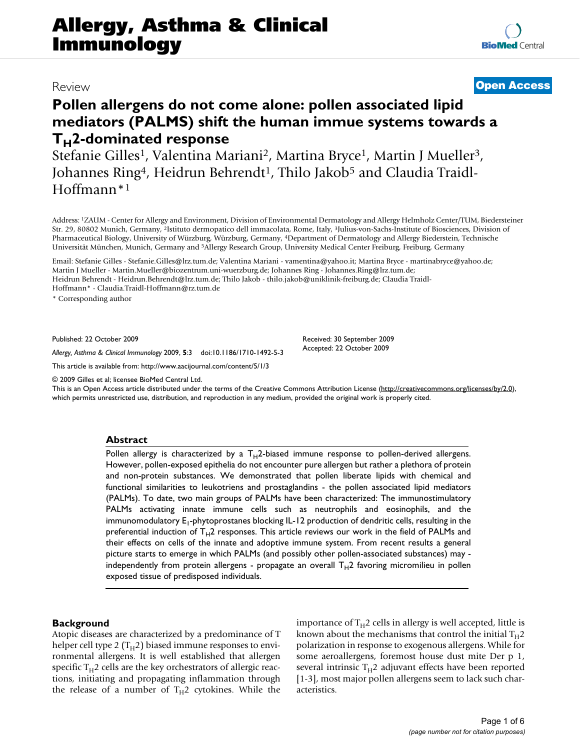# **Pollen allergens do not come alone: pollen associated lipid mediators (PALMS) shift the human immue systems towards a T<sub>H</sub>2-dominated response**

Stefanie Gilles<sup>1</sup>, Valentina Mariani<sup>2</sup>, Martina Bryce<sup>1</sup>, Martin J Mueller<sup>3</sup>, Johannes Ring<sup>4</sup>, Heidrun Behrendt<sup>1</sup>, Thilo Jakob<sup>5</sup> and Claudia Traidl-Hoffmann\*1

Address: 1ZAUM - Center for Allergy and Environment, Division of Environmental Dermatology and Allergy Helmholz Center/TUM, Biedersteiner Str. 29, 80802 Munich, Germany, 2Istituto dermopatico dell immacolata, Rome, Italy, 3Julius-von-Sachs-Institute of Biosciences, Division of Pharmaceutical Biology, University of Würzburg, Würzburg, Germany, 4Department of Dermatology and Allergy Biederstein, Technische Universität München, Munich, Germany and 5Allergy Research Group, University Medical Center Freiburg, Freiburg, Germany

Email: Stefanie Gilles - Stefanie.Gilles@lrz.tum.de; Valentina Mariani - vamentina@yahoo.it; Martina Bryce - martinabryce@yahoo.de; Martin J Mueller - Martin.Mueller@biozentrum.uni-wuerzburg.de; Johannes Ring - Johannes.Ring@lrz.tum.de; Heidrun Behrendt - Heidrun.Behrendt@lrz.tum.de; Thilo Jakob - thilo.jakob@uniklinik-freiburg.de; Claudia Traidl-Hoffmann\* - Claudia.Traidl-Hoffmann@rz.tum.de

\* Corresponding author

Published: 22 October 2009

*Allergy, Asthma & Clinical Immunology* 2009, **5**:3 doi:10.1186/1710-1492-5-3

[This article is available from: http://www.aacijournal.com/content/5/1/3](http://www.aacijournal.com/content/5/1/3)

© 2009 Gilles et al; licensee BioMed Central Ltd.

This is an Open Access article distributed under the terms of the Creative Commons Attribution License [\(http://creativecommons.org/licenses/by/2.0\)](http://creativecommons.org/licenses/by/2.0), which permits unrestricted use, distribution, and reproduction in any medium, provided the original work is properly cited.

Received: 30 September 2009 Accepted: 22 October 2009

### **Abstract**

Pollen allergy is characterized by a  $T_H2$ -biased immune response to pollen-derived allergens. However, pollen-exposed epithelia do not encounter pure allergen but rather a plethora of protein and non-protein substances. We demonstrated that pollen liberate lipids with chemical and functional similarities to leukotriens and prostaglandins - the pollen associated lipid mediators (PALMs). To date, two main groups of PALMs have been characterized: The immunostimulatory PALMs activating innate immune cells such as neutrophils and eosinophils, and the immunomodulatory E<sub>1</sub>-phytoprostanes blocking IL-12 production of dendritic cells, resulting in the preferential induction of  $T_H2$  responses. This article reviews our work in the field of PALMs and their effects on cells of the innate and adoptive immune system. From recent results a general picture starts to emerge in which PALMs (and possibly other pollen-associated substances) may independently from protein allergens - propagate an overall  $T_H2$  favoring micromilieu in pollen exposed tissue of predisposed individuals.

### **Background**

Atopic diseases are characterized by a predominance of T helper cell type 2  $(T_H^2)$  biased immune responses to environmental allergens. It is well established that allergen specific  $T_H$ 2 cells are the key orchestrators of allergic reactions, initiating and propagating inflammation through the release of a number of  $T_H2$  cytokines. While the importance of  $T_H2$  cells in allergy is well accepted, little is known about the mechanisms that control the initial  $T_H$ 2 polarization in response to exogenous allergens. While for some aeroallergens, foremost house dust mite Der p 1, several intrinsic  $T_H2$  adjuvant effects have been reported [1-3], most major pollen allergens seem to lack such characteristics.

# Review **[Open Access](http://www.biomedcentral.com/info/about/charter/)**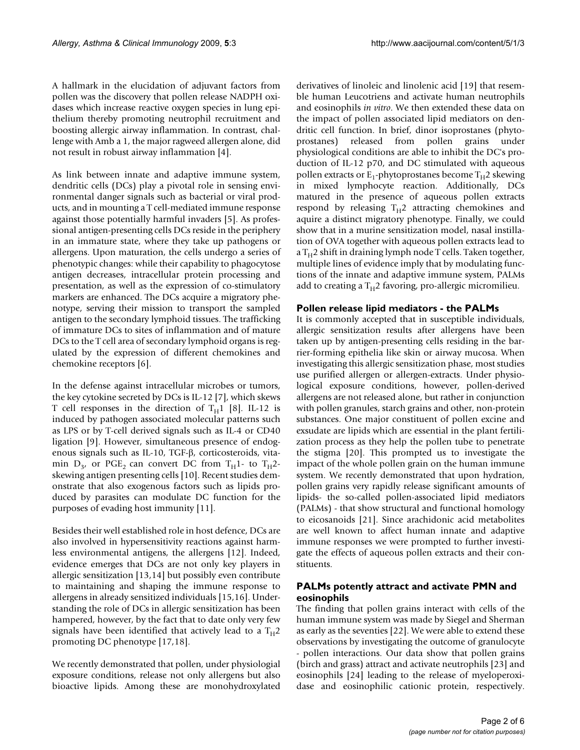A hallmark in the elucidation of adjuvant factors from pollen was the discovery that pollen release NADPH oxidases which increase reactive oxygen species in lung epithelium thereby promoting neutrophil recruitment and boosting allergic airway inflammation. In contrast, challenge with Amb a 1, the major ragweed allergen alone, did not result in robust airway inflammation [4].

As link between innate and adaptive immune system, dendritic cells (DCs) play a pivotal role in sensing environmental danger signals such as bacterial or viral products, and in mounting a T cell-mediated immune response against those potentially harmful invaders [5]. As professional antigen-presenting cells DCs reside in the periphery in an immature state, where they take up pathogens or allergens. Upon maturation, the cells undergo a series of phenotypic changes: while their capability to phagocytose antigen decreases, intracellular protein processing and presentation, as well as the expression of co-stimulatory markers are enhanced. The DCs acquire a migratory phenotype, serving their mission to transport the sampled antigen to the secondary lymphoid tissues. The trafficking of immature DCs to sites of inflammation and of mature DCs to the T cell area of secondary lymphoid organs is regulated by the expression of different chemokines and chemokine receptors [6].

In the defense against intracellular microbes or tumors, the key cytokine secreted by DCs is IL-12 [7], which skews T cell responses in the direction of  $T_H1$  [8]. IL-12 is induced by pathogen associated molecular patterns such as LPS or by T-cell derived signals such as IL-4 or CD40 ligation [9]. However, simultaneous presence of endogenous signals such as IL-10, TGF- $\beta$ , corticosteroids, vitamin  $D_{3}$ , or PGE<sub>2</sub> can convert DC from T<sub>H</sub>1- to T<sub>H</sub>2skewing antigen presenting cells [10]. Recent studies demonstrate that also exogenous factors such as lipids produced by parasites can modulate DC function for the purposes of evading host immunity [11].

Besides their well established role in host defence, DCs are also involved in hypersensitivity reactions against harmless environmental antigens, the allergens [12]. Indeed, evidence emerges that DCs are not only key players in allergic sensitization [13,14] but possibly even contribute to maintaining and shaping the immune response to allergens in already sensitized individuals [15,16]. Understanding the role of DCs in allergic sensitization has been hampered, however, by the fact that to date only very few signals have been identified that actively lead to a  $T_H2$ promoting DC phenotype [17,18].

We recently demonstrated that pollen, under physiologial exposure conditions, release not only allergens but also bioactive lipids. Among these are monohydroxylated

derivatives of linoleic and linolenic acid [19] that resemble human Leucotriens and activate human neutrophils and eosinophils *in vitro*. We then extended these data on the impact of pollen associated lipid mediators on dendritic cell function. In brief, dinor isoprostanes (phytoprostanes) released from pollen grains under physiological conditions are able to inhibit the DC's production of IL-12 p70, and DC stimulated with aqueous pollen extracts or  $E_1$ -phytoprostanes become  $T_H$ 2 skewing in mixed lymphocyte reaction. Additionally, DCs matured in the presence of aqueous pollen extracts respond by releasing  $T_H2$  attracting chemokines and aquire a distinct migratory phenotype. Finally, we could show that in a murine sensitization model, nasal instillation of OVA together with aqueous pollen extracts lead to  $a T_H$ 2 shift in draining lymph node T cells. Taken together, multiple lines of evidence imply that by modulating functions of the innate and adaptive immune system, PALMs add to creating a  $T_H$ 2 favoring, pro-allergic micromilieu.

### **Pollen release lipid mediators - the PALMs**

It is commonly accepted that in susceptible individuals, allergic sensitization results after allergens have been taken up by antigen-presenting cells residing in the barrier-forming epithelia like skin or airway mucosa. When investigating this allergic sensitization phase, most studies use purified allergen or allergen-extracts. Under physiological exposure conditions, however, pollen-derived allergens are not released alone, but rather in conjunction with pollen granules, starch grains and other, non-protein substances. One major constituent of pollen excine and exsudate are lipids which are essential in the plant fertilization process as they help the pollen tube to penetrate the stigma [20]. This prompted us to investigate the impact of the whole pollen grain on the human immune system. We recently demonstrated that upon hydration, pollen grains very rapidly release significant amounts of lipids- the so-called pollen-associated lipid mediators (PALMs) - that show structural and functional homology to eicosanoids [21]. Since arachidonic acid metabolites are well known to affect human innate and adaptive immune responses we were prompted to further investigate the effects of aqueous pollen extracts and their constituents.

# **PALMs potently attract and activate PMN and eosinophils**

The finding that pollen grains interact with cells of the human immune system was made by Siegel and Sherman as early as the seventies [22]. We were able to extend these observations by investigating the outcome of granulocyte - pollen interactions. Our data show that pollen grains (birch and grass) attract and activate neutrophils [23] and eosinophils [24] leading to the release of myeloperoxidase and eosinophilic cationic protein, respectively.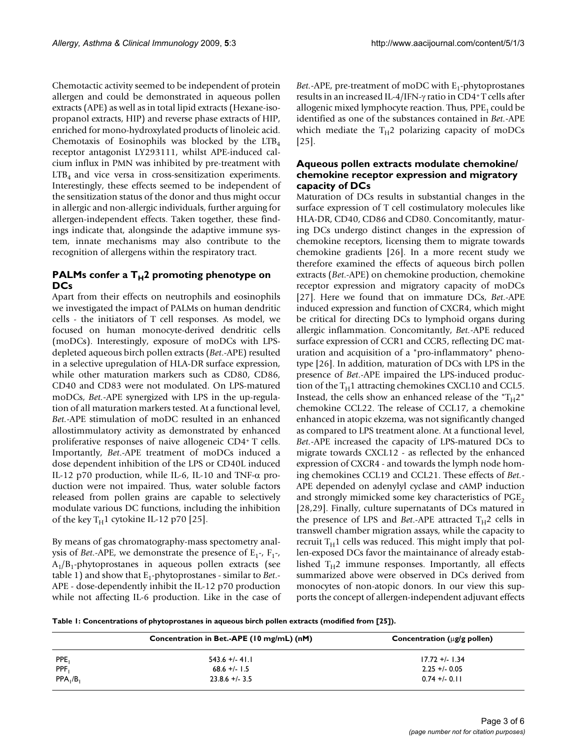Chemotactic activity seemed to be independent of protein allergen and could be demonstrated in aqueous pollen extracts (APE) as well as in total lipid extracts (Hexane-isopropanol extracts, HIP) and reverse phase extracts of HIP, enriched for mono-hydroxylated products of linoleic acid. Chemotaxis of Eosinophils was blocked by the  $LTB<sub>4</sub>$ receptor antagonist LY293111, whilst APE-induced calcium influx in PMN was inhibited by pre-treatment with  $LTB<sub>4</sub>$  and vice versa in cross-sensitization experiments. Interestingly, these effects seemed to be independent of the sensitization status of the donor and thus might occur in allergic and non-allergic individuals, further arguing for allergen-independent effects. Taken together, these findings indicate that, alongsinde the adaptive immune system, innate mechanisms may also contribute to the recognition of allergens within the respiratory tract.

# **PALMs confer a T<sub>H</sub>2 promoting phenotype on DCs**

Apart from their effects on neutrophils and eosinophils we investigated the impact of PALMs on human dendritic cells - the initiators of T cell responses. As model, we focused on human monocyte-derived dendritic cells (moDCs). Interestingly, exposure of moDCs with LPSdepleted aqueous birch pollen extracts (*Bet*.-APE) resulted in a selective upregulation of HLA-DR surface expression, while other maturation markers such as CD80, CD86, CD40 and CD83 were not modulated. On LPS-matured moDCs, *Bet.-*APE synergized with LPS in the up-regulation of all maturation markers tested. At a functional level, *Bet.-*APE stimulation of moDC resulted in an enhanced allostimmulatory activity as demonstrated by enhanced proliferative responses of naive allogeneic CD4+ T cells. Importantly, *Bet*.-APE treatment of moDCs induced a dose dependent inhibition of the LPS or CD40L induced IL-12 p70 production, while IL-6, IL-10 and TNF- $\alpha$  production were not impaired. Thus, water soluble factors released from pollen grains are capable to selectively modulate various DC functions, including the inhibition of the key  $T_H1$  cytokine IL-12 p70 [25].

By means of gas chromatography-mass spectometry analysis of *Bet*.-APE, we demonstrate the presence of  $E_1$ -,  $F_1$ -,  $A_1/B_1$ -phytoprostanes in aqueous pollen extracts (see table 1) and show that E<sub>1</sub>-phytoprostanes - similar to *Bet*.-APE - dose-dependently inhibit the IL-12 p70 production while not affecting IL-6 production. Like in the case of *Bet.-APE, pre-treatment of moDC with E<sub>1</sub>-phytoprostanes* results in an increased IL-4/IFN- $\gamma$  ratio in CD4+T cells after allogenic mixed lymphocyte reaction. Thus,  $PPE<sub>1</sub>$  could be identified as one of the substances contained in *Bet.-*APE which mediate the  $T_H2$  polarizing capacity of moDCs [25].

## **Aqueous pollen extracts modulate chemokine/ chemokine receptor expression and migratory capacity of DCs**

Maturation of DCs results in substantial changes in the surface expression of T cell costimulatory molecules like HLA-DR, CD40, CD86 and CD80. Concomitantly, maturing DCs undergo distinct changes in the expression of chemokine receptors, licensing them to migrate towards chemokine gradients [26]. In a more recent study we therefore examined the effects of aqueous birch pollen extracts (*Bet*.-APE) on chemokine production, chemokine receptor expression and migratory capacity of moDCs [27]. Here we found that on immature DCs, *Bet*.-APE induced expression and function of CXCR4, which might be critical for directing DCs to lymphoid organs during allergic inflammation. Concomitantly, *Bet.-*APE reduced surface expression of CCR1 and CCR5, reflecting DC maturation and acquisition of a "pro-inflammatory" phenotype [26]. In addition, maturation of DCs with LPS in the presence of *Bet*.-APE impaired the LPS-induced production of the  $T_H1$  attracting chemokines CXCL10 and CCL5. Instead, the cells show an enhanced release of the " $T_H2$ " chemokine CCL22. The release of CCL17, a chemokine enhanced in atopic ekzema, was not significantly changed as compared to LPS treatment alone. At a functional level, *Bet.-*APE increased the capacity of LPS-matured DCs to migrate towards CXCL12 - as reflected by the enhanced expression of CXCR4 - and towards the lymph node homing chemokines CCL19 and CCL21. These effects of *Bet.-* APE depended on adenylyl cyclase and cAMP induction and strongly mimicked some key characteristics of  $PGE<sub>2</sub>$ [28,29]. Finally, culture supernatants of DCs matured in the presence of LPS and *Bet*.-APE attracted  $T_H$ 2 cells in transwell chamber migration assays, while the capacity to recruit  $T_H1$  cells was reduced. This might imply that pollen-exposed DCs favor the maintainance of already established  $T_H2$  immune responses. Importantly, all effects summarized above were observed in DCs derived from monocytes of non-atopic donors. In our view this supports the concept of allergen-independent adjuvant effects

**Table 1: Concentrations of phytoprostanes in aqueous birch pollen extracts (modified from [25]).**

|             | Concentration in Bet.-APE (10 mg/mL) (nM) | Concentration ( $\mu$ g/g pollen) |
|-------------|-------------------------------------------|-----------------------------------|
| PPE,        | $543.6 + (-4)$ .                          | $17.72 + 1.34$                    |
| PPF,        | $68.6 +/- 1.5$                            | $2.25 + 0.05$                     |
| $PPA_1/B_1$ | $23.8.6 + 1.3.5$                          | $0.74 + (-0.11)$                  |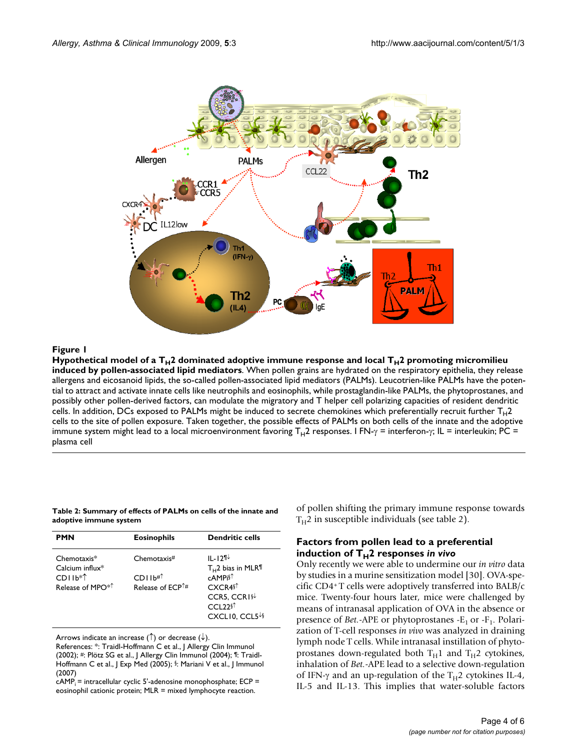

associated lipid mediators **Figure 1** Hypothetical model of a TH2 dominated adoptive immune response and local TH2 promoting micromilieu induced by pollen-Hypothetical model of a  $T_H2$  dominated adoptive immune response and local  $T_H2$  promoting micromilieu **induced by pollen-associated lipid mediators**. When pollen grains are hydrated on the respiratory epithelia, they release allergens and eicosanoid lipids, the so-called pollen-associated lipid mediators (PALMs). Leucotrien-like PALMs have the potential to attract and activate innate cells like neutrophils and eosinophils, while prostaglandin-like PALMs, the phytoprostanes, and possibly other pollen-derived factors, can modulate the migratory and T helper cell polarizing capacities of resident dendritic cells. In addition, DCs exposed to PALMs might be induced to secrete chemokines which preferentially recruit further  $T_H$ 2 cells to the site of pollen exposure. Taken together, the possible effects of PALMs on both cells of the innate and the adoptive immune system might lead to a local microenvironment favoring T<sub>H</sub>2 responses. I FN- $\gamma$  = interferon- $\gamma$ ; IL = interleukin; PC = plasma cell

### **Table 2: Summary of effects of PALMs on cells of the innate and adoptive immune system**

| <b>PMN</b>                                                                      | <b>Eosinophils</b>                                                           | <b>Dendritic cells</b>                                                                                                                        |
|---------------------------------------------------------------------------------|------------------------------------------------------------------------------|-----------------------------------------------------------------------------------------------------------------------------------------------|
| $Chemotaxis*$<br>Calcium influx $*$<br>$CDI1b**$<br>Release of MPO <sup>*</sup> | Chemotaxis#<br>CDI1b# <sup>†</sup><br>Release of $\mathsf{FCP}^{\uparrow\#}$ | ॥ -121⊬<br>$T_{H}$ 2 bias in MLR <sup>¶</sup><br>cAMPi§↑<br>$CXCRA$^{\uparrow}$<br>CCR5, CCR1§↓<br>$CCD$ 22 $\$<br>CXCLI0, CCL5 <sup>↓§</sup> |

Arrows indicate an increase ( $\uparrow$ ) or decrease ( $\downarrow$ ).

References: \*: Traidl-Hoffmann C et al., J Allergy Clin Immunol (2002); #: Plötz SG et al., J Allergy Clin Immunol (2004); ¶: Traidl-Hoffmann C et al., J Exp Med (2005); §: Mariani V et al., J Immunol (2007)

 $cAMP_i$  = intracellular cyclic 5'-adenosine monophosphate; ECP = eosinophil cationic protein; MLR = mixed lymphocyte reaction.

of pollen shifting the primary immune response towards  $T_H$ 2 in susceptible individuals (see table 2).

### **Factors from pollen lead to a preferential**  induction of  $\overline{T}_{H}$ 2 responses *in vivo*

Only recently we were able to undermine our *in vitro* data by studies in a murine sensitization model [30]. OVA-specific CD4+ T cells were adoptively transferred into BALB/c mice. Twenty-four hours later, mice were challenged by means of intranasal application of OVA in the absence or presence of *Bet.*-APE or phytoprostanes -E<sub>1</sub> or -F<sub>1</sub>. Polarization of T-cell responses *in vivo* was analyzed in draining lymph node T cells. While intranasal instillation of phytoprostanes down-regulated both  $T_H1$  and  $T_H2$  cytokines, inhalation of *Bet.-*APE lead to a selective down-regulation of IFN- $\gamma$  and an up-regulation of the T<sub>H</sub>2 cytokines IL-4, IL-5 and IL-13. This implies that water-soluble factors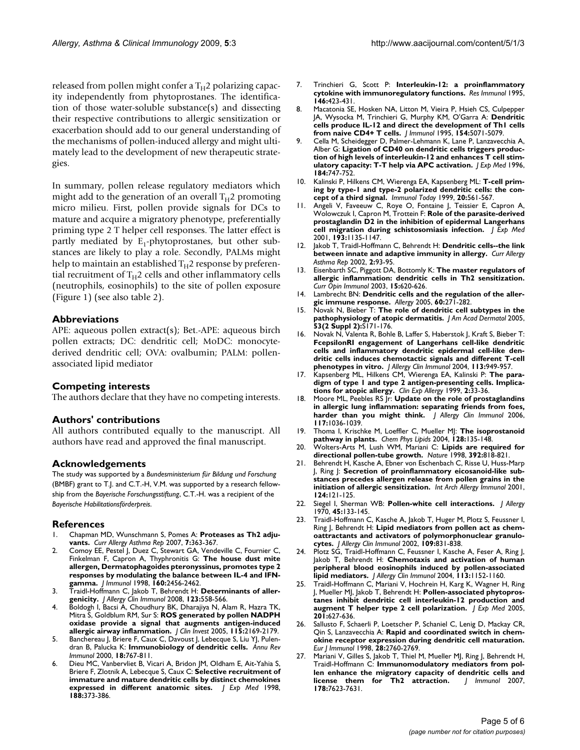released from pollen might confer a  $T_H$ 2 polarizing capacity independently from phytoprostanes. The identification of those water-soluble substance(s) and dissecting their respective contributions to allergic sensitization or exacerbation should add to our general understanding of the mechanisms of pollen-induced allergy and might ultimately lead to the development of new therapeutic strategies.

In summary, pollen release regulatory mediators which might add to the generation of an overall  $T_H$ 2 promoting micro milieu. First, pollen provide signals for DCs to mature and acquire a migratory phenotype, preferentially priming type 2 T helper cell responses. The latter effect is partly mediated by  $E_1$ -phytoprostanes, but other substances are likely to play a role. Secondly, PALMs might help to maintain an established  $T_H$ 2 response by preferential recruitment of  $T_H2$  cells and other inflammatory cells (neutrophils, eosinophils) to the site of pollen exposure (Figure 1) (see also table 2).

### **Abbreviations**

APE: aqueous pollen extract(s); Bet.-APE: aqueous birch pollen extracts; DC: dendritic cell; MoDC: monocytederived dendritic cell; OVA: ovalbumin; PALM: pollenassociated lipid mediator

### **Competing interests**

The authors declare that they have no competing interests.

### **Authors' contributions**

All authors contributed equally to the manuscript. All authors have read and approved the final manuscript.

### **Acknowledgements**

The study was supported by a *Bundesministerium für Bildung und Forschung*  (BMBF) grant to T.J. and C.T.-H, V.M. was supported by a research fellowship from the *Bayerische Forschungsstiftung*, C.T.-H. was a recipient of the *Bayerische Habilitationsförderpreis*.

### **References**

- 1. Chapman MD, Wunschmann S, Pomes A: **[Proteases as Th2 adju](http://www.ncbi.nlm.nih.gov/entrez/query.fcgi?cmd=Retrieve&db=PubMed&dopt=Abstract&list_uids=17697645)[vants.](http://www.ncbi.nlm.nih.gov/entrez/query.fcgi?cmd=Retrieve&db=PubMed&dopt=Abstract&list_uids=17697645)** *Curr Allergy Asthma Rep* 2007, **7:**363-367.
- 2. Comoy EE, Pestel J, Duez C, Stewart GA, Vendeville C, Fournier C, Finkelman F, Capron A, Thyphronitis G: **[The house dust mite](http://www.ncbi.nlm.nih.gov/entrez/query.fcgi?cmd=Retrieve&db=PubMed&dopt=Abstract&list_uids=9498790) [allergen, Dermatophagoides pteronyssinus, promotes type 2](http://www.ncbi.nlm.nih.gov/entrez/query.fcgi?cmd=Retrieve&db=PubMed&dopt=Abstract&list_uids=9498790) responses by modulating the balance between IL-4 and IFN[gamma.](http://www.ncbi.nlm.nih.gov/entrez/query.fcgi?cmd=Retrieve&db=PubMed&dopt=Abstract&list_uids=9498790)** *J Immunol* 1998, **160:**2456-2462.
- 3. Traidl-Hoffmann C, Jakob T, Behrendt H: **Determinants of allergenicity.** *J Allergy Clin Immunol* 2008, **123:**558-566.
- Boldogh I, Bacsi A, Choudhury BK, Dharajiya N, Alam R, Hazra TK, Mitra S, Goldblum RM, Sur S: **[ROS generated by pollen NADPH](http://www.ncbi.nlm.nih.gov/entrez/query.fcgi?cmd=Retrieve&db=PubMed&dopt=Abstract&list_uids=16075057) [oxidase provide a signal that augments antigen-induced](http://www.ncbi.nlm.nih.gov/entrez/query.fcgi?cmd=Retrieve&db=PubMed&dopt=Abstract&list_uids=16075057) [allergic airway inflammation.](http://www.ncbi.nlm.nih.gov/entrez/query.fcgi?cmd=Retrieve&db=PubMed&dopt=Abstract&list_uids=16075057)** *J Clin Invest* 2005, **115:**2169-2179.
- 5. Banchereau J, Briere F, Caux C, Davoust J, Lebecque S, Liu YJ, Pulendran B, Palucka K: **[Immunobiology of dendritic cells.](http://www.ncbi.nlm.nih.gov/entrez/query.fcgi?cmd=Retrieve&db=PubMed&dopt=Abstract&list_uids=10837075)** *Annu Rev Immunol* 2000, **18:**767-811.
- Dieu MC, Vanbervliet B, Vicari A, Bridon JM, Oldham E, Ait-Yahia S, Briere F, Zlotnik A, Lebecque S, Caux C: **[Selective recruitment of](http://www.ncbi.nlm.nih.gov/entrez/query.fcgi?cmd=Retrieve&db=PubMed&dopt=Abstract&list_uids=9670049) [immature and mature dendritic cells by distinct chemokines](http://www.ncbi.nlm.nih.gov/entrez/query.fcgi?cmd=Retrieve&db=PubMed&dopt=Abstract&list_uids=9670049) [expressed in different anatomic sites.](http://www.ncbi.nlm.nih.gov/entrez/query.fcgi?cmd=Retrieve&db=PubMed&dopt=Abstract&list_uids=9670049)** *J Exp Med* 1998, **188:**373-386.
- 7. Trinchieri G, Scott P: **[Interleukin-12: a proinflammatory](http://www.ncbi.nlm.nih.gov/entrez/query.fcgi?cmd=Retrieve&db=PubMed&dopt=Abstract&list_uids=8839141) [cytokine with immunoregulatory functions.](http://www.ncbi.nlm.nih.gov/entrez/query.fcgi?cmd=Retrieve&db=PubMed&dopt=Abstract&list_uids=8839141)** *Res Immunol* 1995, **146:**423-431.
- 8. Macatonia SE, Hosken NA, Litton M, Vieira P, Hsieh CS, Culpepper JA, Wysocka M, Trinchieri G, Murphy KM, O'Garra A: **[Dendritic](http://www.ncbi.nlm.nih.gov/entrez/query.fcgi?cmd=Retrieve&db=PubMed&dopt=Abstract&list_uids=7730613) [cells produce IL-12 and direct the development of Th1 cells](http://www.ncbi.nlm.nih.gov/entrez/query.fcgi?cmd=Retrieve&db=PubMed&dopt=Abstract&list_uids=7730613) [from naive CD4+ T cells.](http://www.ncbi.nlm.nih.gov/entrez/query.fcgi?cmd=Retrieve&db=PubMed&dopt=Abstract&list_uids=7730613)** *J Immunol* 1995, **154:**5071-5079.
- 9. Cella M, Scheidegger D, Palmer-Lehmann K, Lane P, Lanzavecchia A, Alber G: **[Ligation of CD40 on dendritic cells triggers produc](http://www.ncbi.nlm.nih.gov/entrez/query.fcgi?cmd=Retrieve&db=PubMed&dopt=Abstract&list_uids=8760829)[tion of high levels of interleukin-12 and enhances T cell stim](http://www.ncbi.nlm.nih.gov/entrez/query.fcgi?cmd=Retrieve&db=PubMed&dopt=Abstract&list_uids=8760829)[ulatory capacity: T-T help via APC activation.](http://www.ncbi.nlm.nih.gov/entrez/query.fcgi?cmd=Retrieve&db=PubMed&dopt=Abstract&list_uids=8760829)** *J Exp Med* 1996, **184:**747-752.
- 10. Kalinski P, Hilkens CM, Wierenga EA, Kapsenberg ML: **[T-cell prim](http://www.ncbi.nlm.nih.gov/entrez/query.fcgi?cmd=Retrieve&db=PubMed&dopt=Abstract&list_uids=10562707)[ing by type-1 and type-2 polarized dendritic cells: the con](http://www.ncbi.nlm.nih.gov/entrez/query.fcgi?cmd=Retrieve&db=PubMed&dopt=Abstract&list_uids=10562707)[cept of a third signal.](http://www.ncbi.nlm.nih.gov/entrez/query.fcgi?cmd=Retrieve&db=PubMed&dopt=Abstract&list_uids=10562707)** *Immunol Today* 1999, **20:**561-567.
- Angeli V, Faveeuw C, Roye O, Fontaine J, Teissier E, Capron A, Wolowczuk I, Capron M, Trottein F: **[Role of the parasite-derived](http://www.ncbi.nlm.nih.gov/entrez/query.fcgi?cmd=Retrieve&db=PubMed&dopt=Abstract&list_uids=11369785) [prostaglandin D2 in the inhibition of epidermal Langerhans](http://www.ncbi.nlm.nih.gov/entrez/query.fcgi?cmd=Retrieve&db=PubMed&dopt=Abstract&list_uids=11369785) [cell migration during schistosomiasis infection.](http://www.ncbi.nlm.nih.gov/entrez/query.fcgi?cmd=Retrieve&db=PubMed&dopt=Abstract&list_uids=11369785)** *J Exp Med* 2001, **193:**1135-1147.
- 12. Jakob T, Traidl-Hoffmann C, Behrendt H: **[Dendritic cells--the link](http://www.ncbi.nlm.nih.gov/entrez/query.fcgi?cmd=Retrieve&db=PubMed&dopt=Abstract&list_uids=11892099) [between innate and adaptive immunity in allergy.](http://www.ncbi.nlm.nih.gov/entrez/query.fcgi?cmd=Retrieve&db=PubMed&dopt=Abstract&list_uids=11892099)** *Curr Allergy Asthma Rep* 2002, **2:**93-95.
- 13. Eisenbarth SC, Piggott DA, Bottomly K: **[The master regulators of](http://www.ncbi.nlm.nih.gov/entrez/query.fcgi?cmd=Retrieve&db=PubMed&dopt=Abstract&list_uids=14630194) [allergic inflammation: dendritic cells in Th2 sensitization.](http://www.ncbi.nlm.nih.gov/entrez/query.fcgi?cmd=Retrieve&db=PubMed&dopt=Abstract&list_uids=14630194)** *Curr Opin Immunol* 2003, **15:**620-626.
- 14. Lambrecht BN: **[Dendritic cells and the regulation of the aller](http://www.ncbi.nlm.nih.gov/entrez/query.fcgi?cmd=Retrieve&db=PubMed&dopt=Abstract&list_uids=15679711)[gic immune response.](http://www.ncbi.nlm.nih.gov/entrez/query.fcgi?cmd=Retrieve&db=PubMed&dopt=Abstract&list_uids=15679711)** *Allergy* 2005, **60:**271-282.
- 15. Novak N, Bieber T: **[The role of dendritic cell subtypes in the](http://www.ncbi.nlm.nih.gov/entrez/query.fcgi?cmd=Retrieve&db=PubMed&dopt=Abstract&list_uids=16021172) [pathophysiology of atopic dermatitis.](http://www.ncbi.nlm.nih.gov/entrez/query.fcgi?cmd=Retrieve&db=PubMed&dopt=Abstract&list_uids=16021172)** *J Am Acad Dermatol* 2005, **53(2 Suppl 2):**S171-176.
- 16. Novak N, Valenta R, Bohle B, Laffer S, Haberstok J, Kraft S, Bieber T: **[FcepsilonRI engagement of Langerhans cell-like dendritic](http://www.ncbi.nlm.nih.gov/entrez/query.fcgi?cmd=Retrieve&db=PubMed&dopt=Abstract&list_uids=15131579) cells and inflammatory dendritic epidermal cell-like dendritic cells induces chemotactic signals and different T-cell [phenotypes in vitro.](http://www.ncbi.nlm.nih.gov/entrez/query.fcgi?cmd=Retrieve&db=PubMed&dopt=Abstract&list_uids=15131579)** *J Allergy Clin Immunol* 2004, **113:**949-957.
- 17. Kapsenberg ML, Hilkens CM, Wierenga EA, Kalinski P: **The paradigm of type 1 and type 2 antigen-presenting cells. Implications for atopic allergy.** *Clin Exp Allergy* 1999, **2:**33-36.
- 18. Moore ML, Peebles RS Jr: **[Update on the role of prostaglandins](http://www.ncbi.nlm.nih.gov/entrez/query.fcgi?cmd=Retrieve&db=PubMed&dopt=Abstract&list_uids=16675329) [in allergic lung inflammation: separating friends from foes,](http://www.ncbi.nlm.nih.gov/entrez/query.fcgi?cmd=Retrieve&db=PubMed&dopt=Abstract&list_uids=16675329) [harder than you might think.](http://www.ncbi.nlm.nih.gov/entrez/query.fcgi?cmd=Retrieve&db=PubMed&dopt=Abstract&list_uids=16675329)** *J Allergy Clin Immunol* 2006, **117:**1036-1039.
- 19. Thoma I, Krischke M, Loeffler C, Mueller MJ: **[The isoprostanoid](http://www.ncbi.nlm.nih.gov/entrez/query.fcgi?cmd=Retrieve&db=PubMed&dopt=Abstract&list_uids=15037159) [pathway in plants.](http://www.ncbi.nlm.nih.gov/entrez/query.fcgi?cmd=Retrieve&db=PubMed&dopt=Abstract&list_uids=15037159)** *Chem Phys Lipids* 2004, **128:**135-148.
- 20. Wolters-Arts M, Lush WM, Mariani C: **[Lipids are required for](http://www.ncbi.nlm.nih.gov/entrez/query.fcgi?cmd=Retrieve&db=PubMed&dopt=Abstract&list_uids=9572141) [directional pollen-tube growth.](http://www.ncbi.nlm.nih.gov/entrez/query.fcgi?cmd=Retrieve&db=PubMed&dopt=Abstract&list_uids=9572141)** *Nature* 1998, **392:**818-821.
- 21. Behrendt H, Kasche A, Ebner von Eschenbach C, Risse U, Huss-Marp J, Ring J: **[Secretion of proinflammatory eicosanoid-like sub](http://www.ncbi.nlm.nih.gov/entrez/query.fcgi?cmd=Retrieve&db=PubMed&dopt=Abstract&list_uids=11306946)[stances precedes allergen release from pollen grains in the](http://www.ncbi.nlm.nih.gov/entrez/query.fcgi?cmd=Retrieve&db=PubMed&dopt=Abstract&list_uids=11306946) [initiation of allergic sensitization.](http://www.ncbi.nlm.nih.gov/entrez/query.fcgi?cmd=Retrieve&db=PubMed&dopt=Abstract&list_uids=11306946)** *Int Arch Allergy Immunol* 2001, **124:**121-125.
- 22. Siegel I, Sherman WB: **[Pollen-white cell interactions.](http://www.ncbi.nlm.nih.gov/entrez/query.fcgi?cmd=Retrieve&db=PubMed&dopt=Abstract&list_uids=4985071)** *J Allergy* 1970, **45:**133-145.
- 23. Traidl-Hoffmann C, Kasche A, Jakob T, Huger M, Plotz S, Feussner I, Ring J, Behrendt H: **[Lipid mediators from pollen act as chem](http://www.ncbi.nlm.nih.gov/entrez/query.fcgi?cmd=Retrieve&db=PubMed&dopt=Abstract&list_uids=11994708)[oattractants and activators of polymorphonuclear granulo](http://www.ncbi.nlm.nih.gov/entrez/query.fcgi?cmd=Retrieve&db=PubMed&dopt=Abstract&list_uids=11994708)[cytes.](http://www.ncbi.nlm.nih.gov/entrez/query.fcgi?cmd=Retrieve&db=PubMed&dopt=Abstract&list_uids=11994708)** *J Allergy Clin Immunol* 2002, **109:**831-838.
- 24. Plotz SG, Traidl-Hoffmann C, Feussner I, Kasche A, Feser A, Ring J, Jakob T, Behrendt H: **[Chemotaxis and activation of human](http://www.ncbi.nlm.nih.gov/entrez/query.fcgi?cmd=Retrieve&db=PubMed&dopt=Abstract&list_uids=15208598) [peripheral blood eosinophils induced by pollen-associated](http://www.ncbi.nlm.nih.gov/entrez/query.fcgi?cmd=Retrieve&db=PubMed&dopt=Abstract&list_uids=15208598) [lipid mediators.](http://www.ncbi.nlm.nih.gov/entrez/query.fcgi?cmd=Retrieve&db=PubMed&dopt=Abstract&list_uids=15208598)** *J Allergy Clin Immunol* 2004, **113:**1152-1160.
- Traidl-Hoffmann C, Mariani V, Hochrein H, Karg K, Wagner H, Ring J, Mueller MJ, Jakob T, Behrendt H: **[Pollen-associated phytopros](http://www.ncbi.nlm.nih.gov/entrez/query.fcgi?cmd=Retrieve&db=PubMed&dopt=Abstract&list_uids=15728240)[tanes inhibit dendritic cell interleukin-12 production and](http://www.ncbi.nlm.nih.gov/entrez/query.fcgi?cmd=Retrieve&db=PubMed&dopt=Abstract&list_uids=15728240) [augment T helper type 2 cell polarization.](http://www.ncbi.nlm.nih.gov/entrez/query.fcgi?cmd=Retrieve&db=PubMed&dopt=Abstract&list_uids=15728240)** *J Exp Med* 2005, **201:**627-636.
- Sallusto F, Schaerli P, Loetscher P, Schaniel C, Lenig D, Mackay CR, Qin S, Lanzavecchia A: **[Rapid and coordinated switch in chem](http://www.ncbi.nlm.nih.gov/entrez/query.fcgi?cmd=Retrieve&db=PubMed&dopt=Abstract&list_uids=9754563)[okine receptor expression during dendritic cell maturation.](http://www.ncbi.nlm.nih.gov/entrez/query.fcgi?cmd=Retrieve&db=PubMed&dopt=Abstract&list_uids=9754563)** *Eur J Immunol* 1998, **28:**2760-2769.
- Mariani V, Gilles S, Jakob T, Thiel M, Mueller MJ, Ring J, Behrendt H, Traidl-Hoffmann C: **[Immunomodulatory mediators from pol](http://www.ncbi.nlm.nih.gov/entrez/query.fcgi?cmd=Retrieve&db=PubMed&dopt=Abstract&list_uids=17548598)[len enhance the migratory capacity of dendritic cells and](http://www.ncbi.nlm.nih.gov/entrez/query.fcgi?cmd=Retrieve&db=PubMed&dopt=Abstract&list_uids=17548598) [license them for Th2 attraction.](http://www.ncbi.nlm.nih.gov/entrez/query.fcgi?cmd=Retrieve&db=PubMed&dopt=Abstract&list_uids=17548598)** *J Immunol* 2007, **178:**7623-7631.